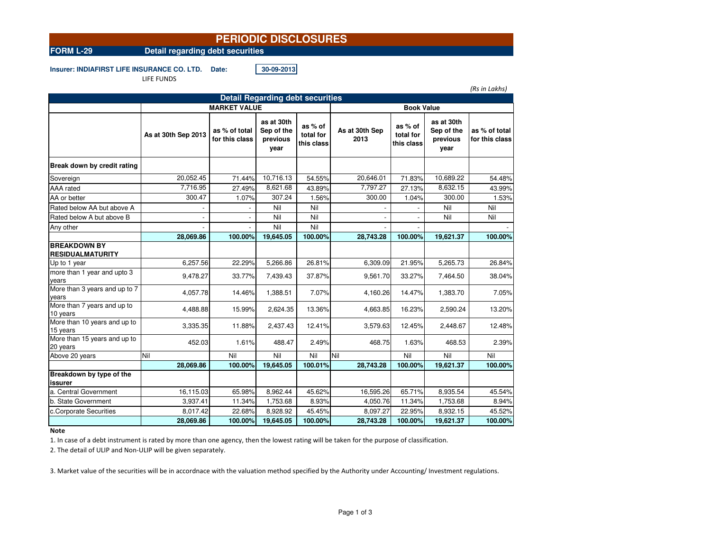# **PERIODIC DISCLOSURES**

**FORM L-29 Detail regarding debt securities**

**Insurer: INDIAFIRST LIFE INSURANCE CO. LTD. Date: 30-09-2013**

LIFE FUNDS

*(Rs in Lakhs)*

| <b>Detail Regarding debt securities</b>        |                     |                                 |                                              |                                    |                        |                                    |                                              |                                 |  |  |  |
|------------------------------------------------|---------------------|---------------------------------|----------------------------------------------|------------------------------------|------------------------|------------------------------------|----------------------------------------------|---------------------------------|--|--|--|
|                                                | <b>MARKET VALUE</b> |                                 |                                              |                                    | <b>Book Value</b>      |                                    |                                              |                                 |  |  |  |
|                                                | As at 30th Sep 2013 | as % of total<br>for this class | as at 30th<br>Sep of the<br>previous<br>year | as % of<br>total for<br>this class | As at 30th Sep<br>2013 | as % of<br>total for<br>this class | as at 30th<br>Sep of the<br>previous<br>year | as % of total<br>for this class |  |  |  |
| Break down by credit rating                    |                     |                                 |                                              |                                    |                        |                                    |                                              |                                 |  |  |  |
| Sovereign                                      | 20,052.45           | 71.44%                          | 10,716.13                                    | 54.55%                             | 20,646.01              | 71.83%                             | 10,689.22                                    | 54.48%                          |  |  |  |
| AAA rated                                      | 7,716.95            | 27.49%                          | 8,621.68                                     | 43.89%                             | 7,797.27               | 27.13%                             | 8,632.15                                     | 43.99%                          |  |  |  |
| AA or better                                   | 300.47              | 1.07%                           | 307.24                                       | 1.56%                              | 300.00                 | 1.04%                              | 300.00                                       | 1.53%                           |  |  |  |
| Rated below AA but above A                     |                     |                                 | Nil                                          | Nil                                |                        |                                    | Nil                                          | Nil                             |  |  |  |
| Rated below A but above B                      |                     |                                 | Nil                                          | Nil                                |                        |                                    | Nil                                          | Nil                             |  |  |  |
| Any other                                      |                     |                                 | Nil                                          | Nil                                |                        |                                    |                                              |                                 |  |  |  |
|                                                | 28,069.86           | 100.00%                         | 19,645.05                                    | 100.00%                            | 28,743.28              | 100.00%                            | 19,621.37                                    | 100.00%                         |  |  |  |
| <b>BREAKDOWN BY</b><br><b>RESIDUALMATURITY</b> |                     |                                 |                                              |                                    |                        |                                    |                                              |                                 |  |  |  |
| Up to 1 year                                   | 6,257.56            | 22.29%                          | 5,266.86                                     | 26.81%                             | 6,309.09               | 21.95%                             | 5,265.73                                     | 26.84%                          |  |  |  |
| more than 1 year and upto 3<br>years           | 9,478.27            | 33.77%                          | 7,439.43                                     | 37.87%                             | 9,561.70               | 33.27%                             | 7,464.50                                     | 38.04%                          |  |  |  |
| More than 3 years and up to 7<br>years         | 4,057.78            | 14.46%                          | 1,388.51                                     | 7.07%                              | 4,160.26               | 14.47%                             | 1,383.70                                     | 7.05%                           |  |  |  |
| More than 7 years and up to<br>10 years        | 4,488.88            | 15.99%                          | 2,624.35                                     | 13.36%                             | 4,663.85               | 16.23%                             | 2,590.24                                     | 13.20%                          |  |  |  |
| More than 10 years and up to<br>15 years       | 3,335.35            | 11.88%                          | 2,437.43                                     | 12.41%                             | 3,579.63               | 12.45%                             | 2,448.67                                     | 12.48%                          |  |  |  |
| More than 15 years and up to<br>20 years       | 452.03              | 1.61%                           | 488.47                                       | 2.49%                              | 468.75                 | 1.63%                              | 468.53                                       | 2.39%                           |  |  |  |
| Above 20 years                                 | Nil                 | Nil                             | Nil                                          | Nil                                | Nil                    | Nil                                | Nil                                          | Nil                             |  |  |  |
|                                                | 28,069.86           | 100.00%                         | 19,645.05                                    | 100.01%                            | 28,743.28              | 100.00%                            | 19,621.37                                    | 100.00%                         |  |  |  |
| Breakdown by type of the<br>issurer            |                     |                                 |                                              |                                    |                        |                                    |                                              |                                 |  |  |  |
| a. Central Government                          | 16,115.03           | 65.98%                          | 8,962.44                                     | 45.62%                             | 16,595.26              | 65.71%                             | 8,935.54                                     | 45.54%                          |  |  |  |
| b. State Government                            | 3,937.41            | 11.34%                          | 1,753.68                                     | 8.93%                              | 4,050.76               | 11.34%                             | 1,753.68                                     | 8.94%                           |  |  |  |
| c.Corporate Securities                         | 8,017.42            | 22.68%                          | 8,928.92                                     | 45.45%                             | 8,097.27               | 22.95%                             | 8,932.15                                     | 45.52%                          |  |  |  |
|                                                | 28,069.86           | 100.00%                         | 19,645.05                                    | 100.00%                            | 28,743.28              | 100.00%                            | 19,621.37                                    | 100.00%                         |  |  |  |

### **Note**

1. In case of a debt instrument is rated by more than one agency, then the lowest rating will be taken for the purpose of classification.

2. The detail of ULIP and Non-ULIP will be given separately.

3. Market value of the securities will be in accordnace with the valuation method specified by the Authority under Accounting/ Investment regulations.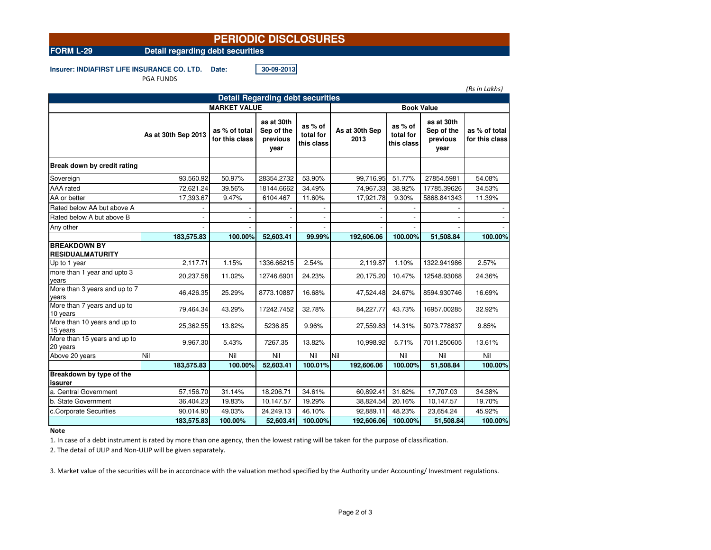## **PERIODIC DISCLOSURES**

**FORM L-29 Detail regarding debt securities**

**Insurer: INDIAFIRST LIFE INSURANCE CO. LTD. Date: 30-09-2013**

PGA FUNDS

*(Rs in Lakhs)*

| <b>Detail Regarding debt securities</b>        |                     |                                 |                                              |                                    |                        |                                    |                                              |                                 |  |
|------------------------------------------------|---------------------|---------------------------------|----------------------------------------------|------------------------------------|------------------------|------------------------------------|----------------------------------------------|---------------------------------|--|
|                                                | <b>MARKET VALUE</b> |                                 |                                              |                                    | <b>Book Value</b>      |                                    |                                              |                                 |  |
|                                                | As at 30th Sep 2013 | as % of total<br>for this class | as at 30th<br>Sep of the<br>previous<br>year | as % of<br>total for<br>this class | As at 30th Sep<br>2013 | as % of<br>total for<br>this class | as at 30th<br>Sep of the<br>previous<br>year | as % of total<br>for this class |  |
| Break down by credit rating                    |                     |                                 |                                              |                                    |                        |                                    |                                              |                                 |  |
| Sovereign                                      | 93,560.92           | 50.97%                          | 28354.2732                                   | 53.90%                             | 99,716.95              | 51.77%                             | 27854.5981                                   | 54.08%                          |  |
| AAA rated                                      | 72,621.24           | 39.56%                          | 18144.6662                                   | 34.49%                             | 74,967.33              | 38.92%                             | 17785.39626                                  | 34.53%                          |  |
| AA or better                                   | 17,393.67           | 9.47%                           | 6104.467                                     | 11.60%                             | 17,921.78              | 9.30%                              | 5868.841343                                  | 11.39%                          |  |
| Rated below AA but above A                     |                     |                                 |                                              |                                    |                        |                                    |                                              |                                 |  |
| Rated below A but above B                      |                     |                                 |                                              |                                    |                        |                                    |                                              |                                 |  |
| Any other                                      |                     |                                 |                                              |                                    |                        |                                    |                                              |                                 |  |
|                                                | 183,575.83          | 100.00%                         | 52,603.41                                    | 99.99%                             | 192,606.06             | 100.00%                            | 51,508.84                                    | 100.00%                         |  |
| <b>BREAKDOWN BY</b><br><b>RESIDUALMATURITY</b> |                     |                                 |                                              |                                    |                        |                                    |                                              |                                 |  |
| Up to 1 year                                   | 2,117.71            | 1.15%                           | 1336.66215                                   | 2.54%                              | 2,119.87               | 1.10%                              | 1322.941986                                  | 2.57%                           |  |
| more than 1 year and upto 3<br>years           | 20,237.58           | 11.02%                          | 12746.6901                                   | 24.23%                             | 20,175.20              | 10.47%                             | 12548.93068                                  | 24.36%                          |  |
| More than 3 years and up to 7<br>years         | 46,426.35           | 25.29%                          | 8773.10887                                   | 16.68%                             | 47.524.48              | 24.67%                             | 8594.930746                                  | 16.69%                          |  |
| More than 7 years and up to<br>10 years        | 79,464.34           | 43.29%                          | 17242.7452                                   | 32.78%                             | 84,227.77              | 43.73%                             | 16957.00285                                  | 32.92%                          |  |
| More than 10 years and up to<br>15 years       | 25,362.55           | 13.82%                          | 5236.85                                      | 9.96%                              | 27,559.83              | 14.31%                             | 5073.778837                                  | 9.85%                           |  |
| More than 15 years and up to<br>20 years       | 9,967.30            | 5.43%                           | 7267.35                                      | 13.82%                             | 10,998.92              | 5.71%                              | 7011.250605                                  | 13.61%                          |  |
| Above 20 years                                 | Nil                 | Nil                             | Nil                                          | Nil                                | Nil                    | Nil                                | Nil                                          | Nil                             |  |
|                                                | 183,575.83          | 100.00%                         | 52,603.41                                    | 100.01%                            | 192,606.06             | 100.00%                            | 51,508.84                                    | 100.00%                         |  |
| Breakdown by type of the<br>issurer            |                     |                                 |                                              |                                    |                        |                                    |                                              |                                 |  |
| a. Central Government                          | 57,156.70           | 31.14%                          | 18,206.71                                    | 34.61%                             | 60,892.41              | 31.62%                             | 17,707.03                                    | 34.38%                          |  |
| b. State Government                            | 36,404.23           | 19.83%                          | 10,147.57                                    | 19.29%                             | 38,824.54              | 20.16%                             | 10,147.57                                    | 19.70%                          |  |
| c.Corporate Securities                         | 90,014.90           | 49.03%                          | 24,249.13                                    | 46.10%                             | 92,889.11              | 48.23%                             | 23,654.24                                    | 45.92%                          |  |
|                                                | 183,575.83          | 100.00%                         | 52,603.41                                    | 100.00%                            | 192,606.06             | 100.00%                            | 51,508.84                                    | 100.00%                         |  |

## **Note**

1. In case of a debt instrument is rated by more than one agency, then the lowest rating will be taken for the purpose of classification.

2. The detail of ULIP and Non-ULIP will be given separately.

3. Market value of the securities will be in accordnace with the valuation method specified by the Authority under Accounting/ Investment regulations.